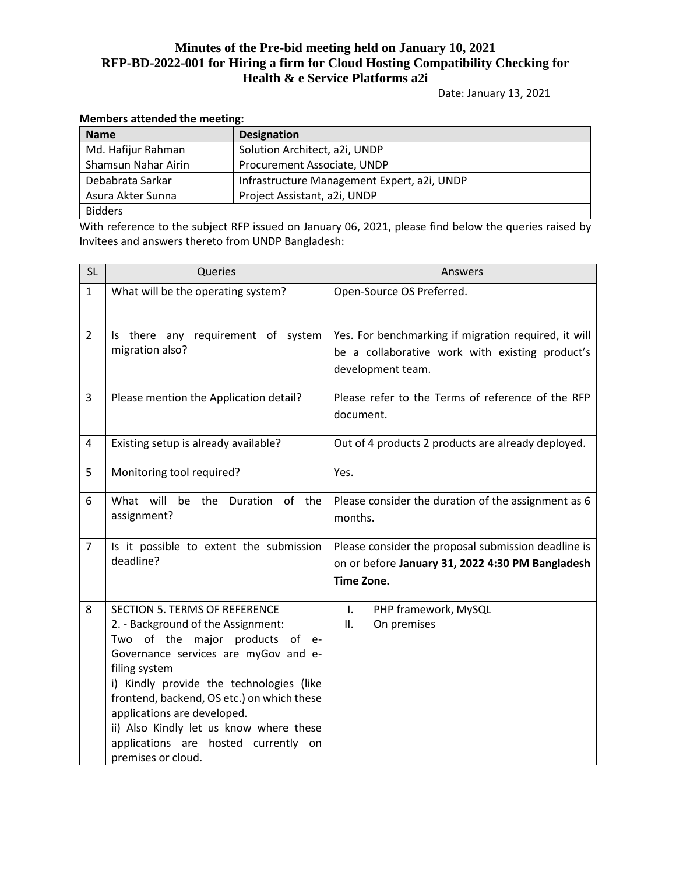Date: January 13, 2021

| <b>Name</b>         | <b>Designation</b>                          |
|---------------------|---------------------------------------------|
| Md. Hafijur Rahman  | Solution Architect, a2i, UNDP               |
| Shamsun Nahar Airin | Procurement Associate, UNDP                 |
| Debabrata Sarkar    | Infrastructure Management Expert, a2i, UNDP |
| Asura Akter Sunna   | Project Assistant, a2i, UNDP                |
| <b>Bidders</b>      |                                             |

#### **Members attended the meeting:**

With reference to the subject RFP issued on January 06, 2021, please find below the queries raised by Invitees and answers thereto from UNDP Bangladesh:

| <b>SL</b>      | Queries                                                                                                                                                                                                                                                                                                                                                                                                       | Answers                                                                                                                      |  |  |
|----------------|---------------------------------------------------------------------------------------------------------------------------------------------------------------------------------------------------------------------------------------------------------------------------------------------------------------------------------------------------------------------------------------------------------------|------------------------------------------------------------------------------------------------------------------------------|--|--|
| $\mathbf{1}$   | What will be the operating system?                                                                                                                                                                                                                                                                                                                                                                            | Open-Source OS Preferred.                                                                                                    |  |  |
| $\overline{2}$ | Is there any requirement of system<br>migration also?                                                                                                                                                                                                                                                                                                                                                         | Yes. For benchmarking if migration required, it will<br>be a collaborative work with existing product's<br>development team. |  |  |
| 3              | Please mention the Application detail?                                                                                                                                                                                                                                                                                                                                                                        | Please refer to the Terms of reference of the RFP<br>document.                                                               |  |  |
| 4              | Existing setup is already available?                                                                                                                                                                                                                                                                                                                                                                          | Out of 4 products 2 products are already deployed.                                                                           |  |  |
| 5              | Monitoring tool required?                                                                                                                                                                                                                                                                                                                                                                                     | Yes.                                                                                                                         |  |  |
| 6              | What will<br>be<br>of<br>the<br>Duration<br>the<br>assignment?                                                                                                                                                                                                                                                                                                                                                | Please consider the duration of the assignment as 6<br>months.                                                               |  |  |
| 7              | Is it possible to extent the submission<br>deadline?                                                                                                                                                                                                                                                                                                                                                          | Please consider the proposal submission deadline is<br>on or before January 31, 2022 4:30 PM Bangladesh<br>Time Zone.        |  |  |
| 8              | <b>SECTION 5. TERMS OF REFERENCE</b><br>2. - Background of the Assignment:<br>Two of the major products of<br>$e-$<br>Governance services are myGov and e-<br>filing system<br>i) Kindly provide the technologies (like<br>frontend, backend, OS etc.) on which these<br>applications are developed.<br>ii) Also Kindly let us know where these<br>applications are hosted currently on<br>premises or cloud. | PHP framework, MySQL<br>$\mathsf{L}$<br>ΙΙ.<br>On premises                                                                   |  |  |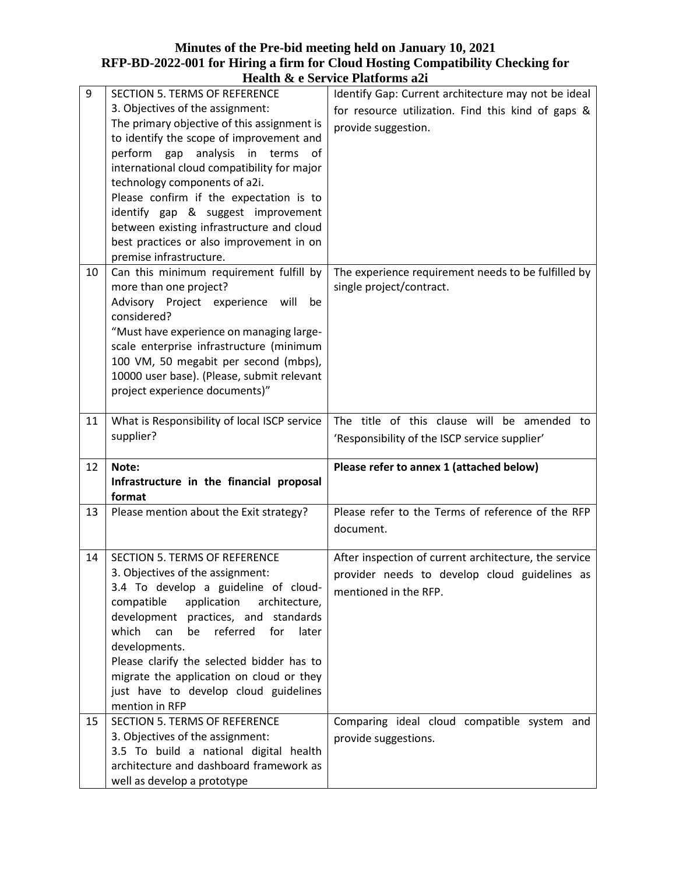|    |                                                                                   | Treatur & e sei vice i fatiolilis azi                 |
|----|-----------------------------------------------------------------------------------|-------------------------------------------------------|
| 9  | SECTION 5. TERMS OF REFERENCE                                                     | Identify Gap: Current architecture may not be ideal   |
|    | 3. Objectives of the assignment:                                                  | for resource utilization. Find this kind of gaps &    |
|    | The primary objective of this assignment is                                       | provide suggestion.                                   |
|    | to identify the scope of improvement and                                          |                                                       |
|    | perform gap analysis<br>in terms<br>-of                                           |                                                       |
|    | international cloud compatibility for major                                       |                                                       |
|    | technology components of a2i.                                                     |                                                       |
|    | Please confirm if the expectation is to                                           |                                                       |
|    | identify gap & suggest improvement                                                |                                                       |
|    | between existing infrastructure and cloud                                         |                                                       |
|    | best practices or also improvement in on                                          |                                                       |
|    | premise infrastructure.                                                           |                                                       |
| 10 | Can this minimum requirement fulfill by                                           | The experience requirement needs to be fulfilled by   |
|    | more than one project?                                                            | single project/contract.                              |
|    | Advisory Project experience will<br>be                                            |                                                       |
|    | considered?                                                                       |                                                       |
|    | "Must have experience on managing large-                                          |                                                       |
|    | scale enterprise infrastructure (minimum                                          |                                                       |
|    | 100 VM, 50 megabit per second (mbps),                                             |                                                       |
|    | 10000 user base). (Please, submit relevant<br>project experience documents)"      |                                                       |
|    |                                                                                   |                                                       |
| 11 | What is Responsibility of local ISCP service                                      | The title of this clause will be amended to           |
|    |                                                                                   |                                                       |
|    |                                                                                   |                                                       |
|    | supplier?                                                                         | 'Responsibility of the ISCP service supplier'         |
| 12 | Note:                                                                             | Please refer to annex 1 (attached below)              |
|    | Infrastructure in the financial proposal                                          |                                                       |
|    | format                                                                            |                                                       |
| 13 | Please mention about the Exit strategy?                                           | Please refer to the Terms of reference of the RFP     |
|    |                                                                                   | document.                                             |
|    |                                                                                   |                                                       |
| 14 | SECTION 5. TERMS OF REFERENCE                                                     | After inspection of current architecture, the service |
|    | 3. Objectives of the assignment:                                                  | provider needs to develop cloud guidelines as         |
|    | 3.4 To develop a guideline of cloud-                                              | mentioned in the RFP.                                 |
|    | compatible application<br>architecture,                                           |                                                       |
|    | development practices, and standards                                              |                                                       |
|    | referred<br>which<br>can<br>for<br>later<br>be                                    |                                                       |
|    | developments.                                                                     |                                                       |
|    | Please clarify the selected bidder has to                                         |                                                       |
|    | migrate the application on cloud or they                                          |                                                       |
|    | just have to develop cloud guidelines                                             |                                                       |
| 15 | mention in RFP                                                                    |                                                       |
|    | SECTION 5. TERMS OF REFERENCE                                                     | Comparing ideal cloud compatible system and           |
|    | 3. Objectives of the assignment:                                                  | provide suggestions.                                  |
|    | 3.5 To build a national digital health<br>architecture and dashboard framework as |                                                       |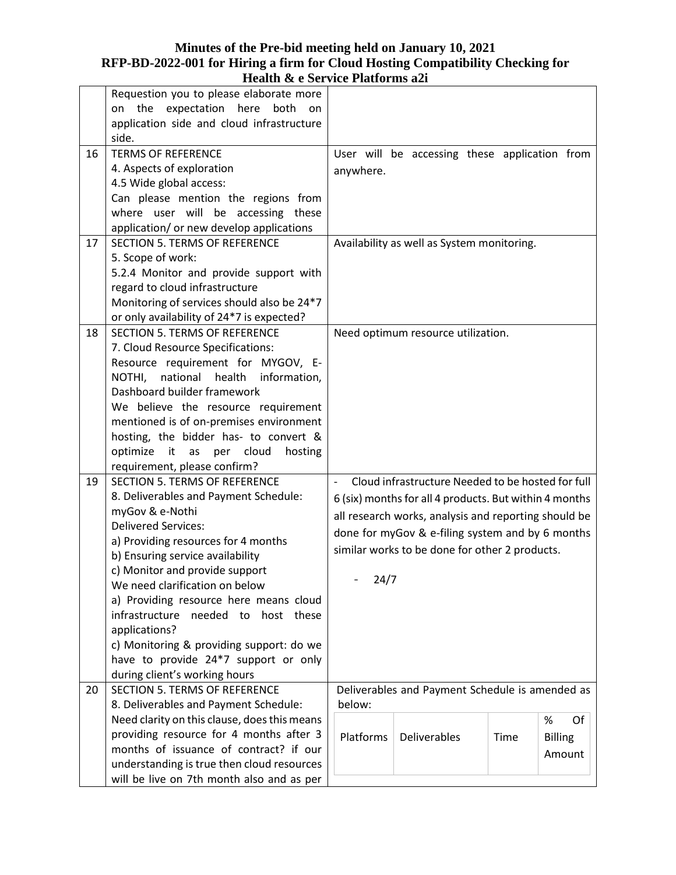|    | Requestion you to please elaborate more      |                                                           |                                                        |      |                |
|----|----------------------------------------------|-----------------------------------------------------------|--------------------------------------------------------|------|----------------|
|    | expectation here<br>the<br>both<br>on<br>on. |                                                           |                                                        |      |                |
|    | application side and cloud infrastructure    |                                                           |                                                        |      |                |
|    | side.                                        |                                                           |                                                        |      |                |
| 16 | <b>TERMS OF REFERENCE</b>                    |                                                           | User will be accessing these application from          |      |                |
|    | 4. Aspects of exploration                    | anywhere.                                                 |                                                        |      |                |
|    | 4.5 Wide global access:                      |                                                           |                                                        |      |                |
|    | Can please mention the regions from          |                                                           |                                                        |      |                |
|    | where user will be accessing these           |                                                           |                                                        |      |                |
|    | application/ or new develop applications     |                                                           |                                                        |      |                |
| 17 | <b>SECTION 5. TERMS OF REFERENCE</b>         |                                                           | Availability as well as System monitoring.             |      |                |
|    | 5. Scope of work:                            |                                                           |                                                        |      |                |
|    | 5.2.4 Monitor and provide support with       |                                                           |                                                        |      |                |
|    | regard to cloud infrastructure               |                                                           |                                                        |      |                |
|    | Monitoring of services should also be 24*7   |                                                           |                                                        |      |                |
|    | or only availability of 24*7 is expected?    |                                                           |                                                        |      |                |
| 18 | <b>SECTION 5. TERMS OF REFERENCE</b>         |                                                           | Need optimum resource utilization.                     |      |                |
|    | 7. Cloud Resource Specifications:            |                                                           |                                                        |      |                |
|    | Resource requirement for MYGOV, E-           |                                                           |                                                        |      |                |
|    | national<br>information,<br>NOTHI,<br>health |                                                           |                                                        |      |                |
|    | Dashboard builder framework                  |                                                           |                                                        |      |                |
|    | We believe the resource requirement          |                                                           |                                                        |      |                |
|    | mentioned is of on-premises environment      |                                                           |                                                        |      |                |
|    | hosting, the bidder has- to convert &        |                                                           |                                                        |      |                |
|    | optimize it as per cloud<br>hosting          |                                                           |                                                        |      |                |
|    | requirement, please confirm?                 |                                                           |                                                        |      |                |
| 19 | <b>SECTION 5. TERMS OF REFERENCE</b>         | $\qquad \qquad \blacksquare$                              | Cloud infrastructure Needed to be hosted for full      |      |                |
|    | 8. Deliverables and Payment Schedule:        |                                                           | 6 (six) months for all 4 products. But within 4 months |      |                |
|    | myGov & e-Nothi                              |                                                           |                                                        |      |                |
|    | <b>Delivered Services:</b>                   | all research works, analysis and reporting should be      |                                                        |      |                |
|    | a) Providing resources for 4 months          | done for myGov & e-filing system and by 6 months          |                                                        |      |                |
|    | b) Ensuring service availability             | similar works to be done for other 2 products.            |                                                        |      |                |
|    | c) Monitor and provide support               |                                                           |                                                        |      |                |
|    | We need clarification on below               | 24/7                                                      |                                                        |      |                |
|    | a) Providing resource here means cloud       |                                                           |                                                        |      |                |
|    | infrastructure<br>host these<br>needed to    |                                                           |                                                        |      |                |
|    | applications?                                |                                                           |                                                        |      |                |
|    | c) Monitoring & providing support: do we     |                                                           |                                                        |      |                |
|    | have to provide 24*7 support or only         |                                                           |                                                        |      |                |
|    | during client's working hours                |                                                           |                                                        |      |                |
| 20 | <b>SECTION 5. TERMS OF REFERENCE</b>         |                                                           |                                                        |      |                |
|    | 8. Deliverables and Payment Schedule:        | Deliverables and Payment Schedule is amended as<br>below: |                                                        |      |                |
|    | Need clarity on this clause, does this means |                                                           |                                                        |      | $\%$<br>Of     |
|    | providing resource for 4 months after 3      | Platforms                                                 | Deliverables                                           | Time | <b>Billing</b> |
|    | months of issuance of contract? if our       |                                                           |                                                        |      |                |
|    | understanding is true then cloud resources   |                                                           |                                                        |      | Amount         |
|    | will be live on 7th month also and as per    |                                                           |                                                        |      |                |
|    |                                              |                                                           |                                                        |      |                |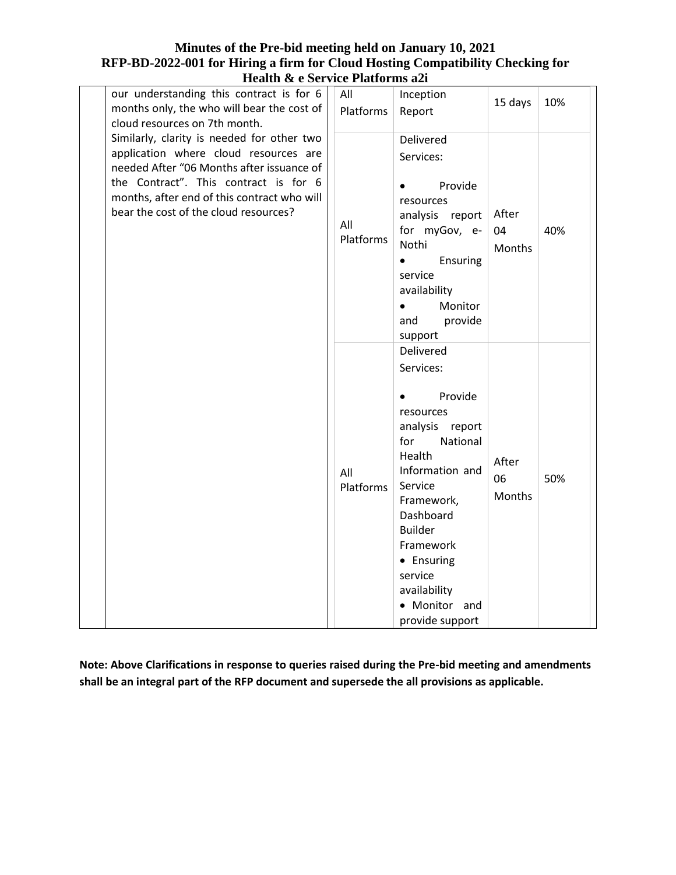| neann & c bei me i iadulms al                                                                                                                                                                                                                                                                      |                  |                                                                                                                                                                                                                                                                                  |                              |     |
|----------------------------------------------------------------------------------------------------------------------------------------------------------------------------------------------------------------------------------------------------------------------------------------------------|------------------|----------------------------------------------------------------------------------------------------------------------------------------------------------------------------------------------------------------------------------------------------------------------------------|------------------------------|-----|
| our understanding this contract is for 6<br>months only, the who will bear the cost of                                                                                                                                                                                                             | All<br>Platforms | Inception<br>Report                                                                                                                                                                                                                                                              | 15 days                      | 10% |
| cloud resources on 7th month.<br>Similarly, clarity is needed for other two<br>application where cloud resources are<br>needed After "06 Months after issuance of<br>the Contract". This contract is for 6<br>months, after end of this contract who will<br>bear the cost of the cloud resources? | All<br>Platforms | Delivered<br>Services:<br>Provide<br>$\bullet$<br>resources<br>analysis report<br>for myGov, e-<br>Nothi<br>Ensuring<br>$\bullet$<br>service<br>availability<br>Monitor<br>$\bullet$<br>and<br>provide<br>support                                                                | After<br>04<br><b>Months</b> | 40% |
|                                                                                                                                                                                                                                                                                                    | All<br>Platforms | Delivered<br>Services:<br>Provide<br>$\bullet$<br>resources<br>analysis report<br>National<br>for<br>Health<br>Information and<br>Service<br>Framework,<br>Dashboard<br><b>Builder</b><br>Framework<br>• Ensuring<br>service<br>availability<br>• Monitor and<br>provide support | After<br>06<br><b>Months</b> | 50% |

**Note: Above Clarifications in response to queries raised during the Pre-bid meeting and amendments shall be an integral part of the RFP document and supersede the all provisions as applicable.**